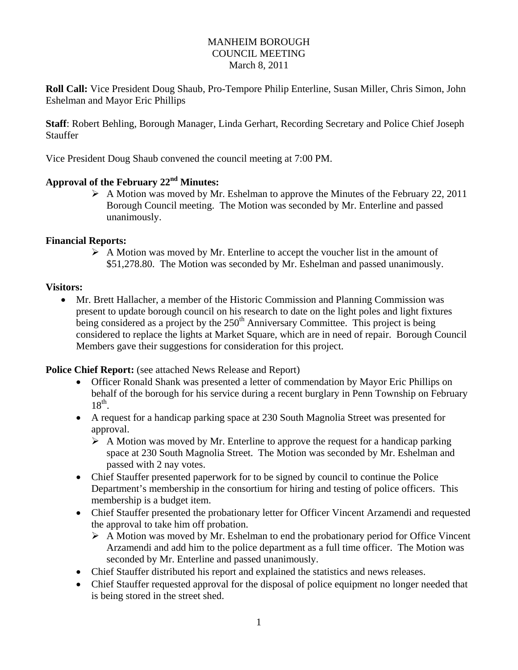#### MANHEIM BOROUGH COUNCIL MEETING March 8, 2011

**Roll Call:** Vice President Doug Shaub, Pro-Tempore Philip Enterline, Susan Miller, Chris Simon, John Eshelman and Mayor Eric Phillips

**Staff**: Robert Behling, Borough Manager, Linda Gerhart, Recording Secretary and Police Chief Joseph **Stauffer** 

Vice President Doug Shaub convened the council meeting at 7:00 PM.

## **Approval of the February 22nd Minutes:**

 A Motion was moved by Mr. Eshelman to approve the Minutes of the February 22, 2011 Borough Council meeting. The Motion was seconded by Mr. Enterline and passed unanimously.

#### **Financial Reports:**

 $\triangleright$  A Motion was moved by Mr. Enterline to accept the voucher list in the amount of \$51,278.80. The Motion was seconded by Mr. Eshelman and passed unanimously.

#### **Visitors:**

 Mr. Brett Hallacher, a member of the Historic Commission and Planning Commission was present to update borough council on his research to date on the light poles and light fixtures being considered as a project by the  $250<sup>th</sup>$  Anniversary Committee. This project is being considered to replace the lights at Market Square, which are in need of repair. Borough Council Members gave their suggestions for consideration for this project.

#### **Police Chief Report:** (see attached News Release and Report)

- Officer Ronald Shank was presented a letter of commendation by Mayor Eric Phillips on behalf of the borough for his service during a recent burglary in Penn Township on February  $18^{th}$ .
- A request for a handicap parking space at 230 South Magnolia Street was presented for approval.
	- $\triangleright$  A Motion was moved by Mr. Enterline to approve the request for a handicap parking space at 230 South Magnolia Street. The Motion was seconded by Mr. Eshelman and passed with 2 nay votes.
- Chief Stauffer presented paperwork for to be signed by council to continue the Police Department's membership in the consortium for hiring and testing of police officers. This membership is a budget item.
- Chief Stauffer presented the probationary letter for Officer Vincent Arzamendi and requested the approval to take him off probation.
	- $\triangleright$  A Motion was moved by Mr. Eshelman to end the probationary period for Office Vincent Arzamendi and add him to the police department as a full time officer. The Motion was seconded by Mr. Enterline and passed unanimously.
- Chief Stauffer distributed his report and explained the statistics and news releases.
- Chief Stauffer requested approval for the disposal of police equipment no longer needed that is being stored in the street shed.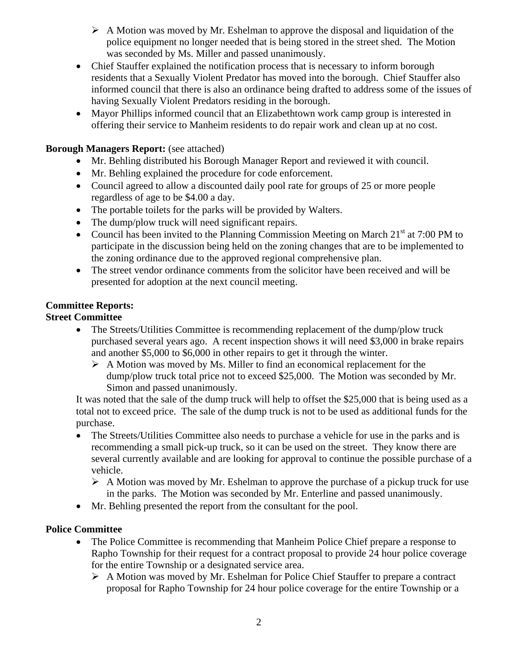- $\triangleright$  A Motion was moved by Mr. Eshelman to approve the disposal and liquidation of the police equipment no longer needed that is being stored in the street shed. The Motion was seconded by Ms. Miller and passed unanimously.
- Chief Stauffer explained the notification process that is necessary to inform borough residents that a Sexually Violent Predator has moved into the borough. Chief Stauffer also informed council that there is also an ordinance being drafted to address some of the issues of having Sexually Violent Predators residing in the borough.
- Mayor Phillips informed council that an Elizabethtown work camp group is interested in offering their service to Manheim residents to do repair work and clean up at no cost.

## **Borough Managers Report:** (see attached)

- Mr. Behling distributed his Borough Manager Report and reviewed it with council.
- Mr. Behling explained the procedure for code enforcement.
- Council agreed to allow a discounted daily pool rate for groups of 25 or more people regardless of age to be \$4.00 a day.
- The portable toilets for the parks will be provided by Walters.
- The dump/plow truck will need significant repairs.
- Council has been invited to the Planning Commission Meeting on March  $21<sup>st</sup>$  at 7:00 PM to participate in the discussion being held on the zoning changes that are to be implemented to the zoning ordinance due to the approved regional comprehensive plan.
- The street vendor ordinance comments from the solicitor have been received and will be presented for adoption at the next council meeting.

# **Committee Reports:**

## **Street Committee**

- The Streets/Utilities Committee is recommending replacement of the dump/plow truck purchased several years ago. A recent inspection shows it will need \$3,000 in brake repairs and another \$5,000 to \$6,000 in other repairs to get it through the winter.
	- $\triangleright$  A Motion was moved by Ms. Miller to find an economical replacement for the dump/plow truck total price not to exceed \$25,000. The Motion was seconded by Mr. Simon and passed unanimously.

It was noted that the sale of the dump truck will help to offset the \$25,000 that is being used as a total not to exceed price. The sale of the dump truck is not to be used as additional funds for the purchase.

- The Streets/Utilities Committee also needs to purchase a vehicle for use in the parks and is recommending a small pick-up truck, so it can be used on the street. They know there are several currently available and are looking for approval to continue the possible purchase of a vehicle.
	- $\triangleright$  A Motion was moved by Mr. Eshelman to approve the purchase of a pickup truck for use in the parks. The Motion was seconded by Mr. Enterline and passed unanimously.
- Mr. Behling presented the report from the consultant for the pool.

### **Police Committee**

- The Police Committee is recommending that Manheim Police Chief prepare a response to Rapho Township for their request for a contract proposal to provide 24 hour police coverage for the entire Township or a designated service area.
	- A Motion was moved by Mr. Eshelman for Police Chief Stauffer to prepare a contract proposal for Rapho Township for 24 hour police coverage for the entire Township or a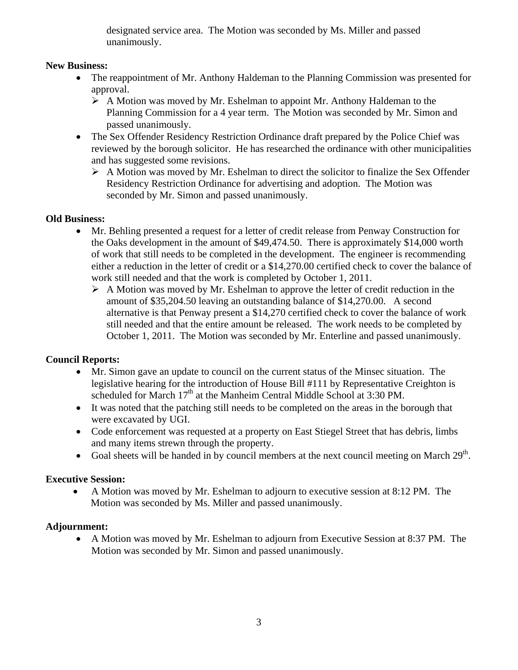designated service area. The Motion was seconded by Ms. Miller and passed unanimously.

### **New Business:**

- The reappointment of Mr. Anthony Haldeman to the Planning Commission was presented for approval.
	- $\triangleright$  A Motion was moved by Mr. Eshelman to appoint Mr. Anthony Haldeman to the Planning Commission for a 4 year term. The Motion was seconded by Mr. Simon and passed unanimously.
- The Sex Offender Residency Restriction Ordinance draft prepared by the Police Chief was reviewed by the borough solicitor. He has researched the ordinance with other municipalities and has suggested some revisions.
	- $\triangleright$  A Motion was moved by Mr. Eshelman to direct the solicitor to finalize the Sex Offender Residency Restriction Ordinance for advertising and adoption. The Motion was seconded by Mr. Simon and passed unanimously.

### **Old Business:**

- Mr. Behling presented a request for a letter of credit release from Penway Construction for the Oaks development in the amount of \$49,474.50. There is approximately \$14,000 worth of work that still needs to be completed in the development. The engineer is recommending either a reduction in the letter of credit or a \$14,270.00 certified check to cover the balance of work still needed and that the work is completed by October 1, 2011.
	- $\triangleright$  A Motion was moved by Mr. Eshelman to approve the letter of credit reduction in the amount of \$35,204.50 leaving an outstanding balance of \$14,270.00. A second alternative is that Penway present a \$14,270 certified check to cover the balance of work still needed and that the entire amount be released. The work needs to be completed by October 1, 2011. The Motion was seconded by Mr. Enterline and passed unanimously.

## **Council Reports:**

- Mr. Simon gave an update to council on the current status of the Minsec situation. The legislative hearing for the introduction of House Bill #111 by Representative Creighton is scheduled for March 17<sup>th</sup> at the Manheim Central Middle School at 3:30 PM.
- It was noted that the patching still needs to be completed on the areas in the borough that were excavated by UGI.
- Code enforcement was requested at a property on East Stiegel Street that has debris, limbs and many items strewn through the property.
- Goal sheets will be handed in by council members at the next council meeting on March  $29<sup>th</sup>$ .

## **Executive Session:**

 A Motion was moved by Mr. Eshelman to adjourn to executive session at 8:12 PM. The Motion was seconded by Ms. Miller and passed unanimously.

### **Adjournment:**

 A Motion was moved by Mr. Eshelman to adjourn from Executive Session at 8:37 PM. The Motion was seconded by Mr. Simon and passed unanimously.